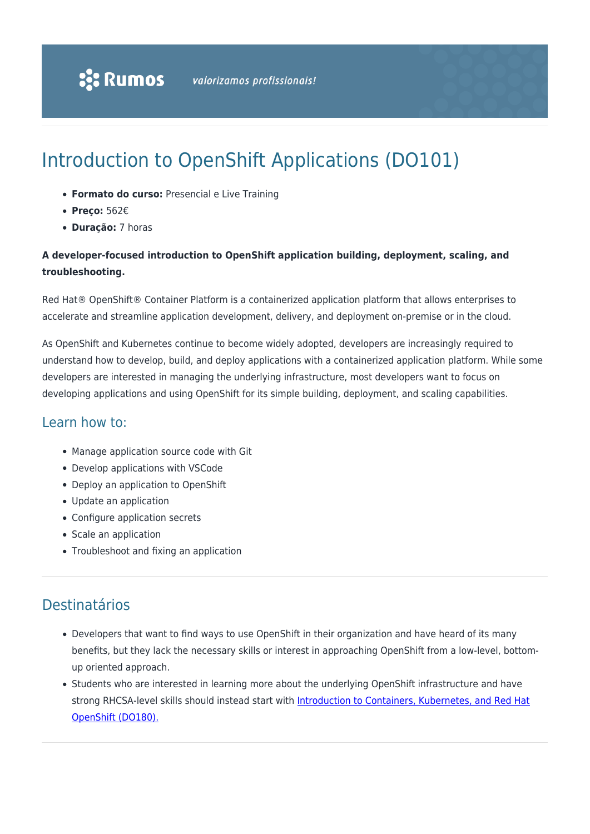# Introduction to OpenShift Applications (DO101)

- **Formato do curso:** Presencial e Live Training
- **Preço:** 562€
- **Duração:** 7 horas

### **A developer-focused introduction to OpenShift application building, deployment, scaling, and troubleshooting.**

Red Hat® OpenShift® Container Platform is a containerized application platform that allows enterprises to accelerate and streamline application development, delivery, and deployment on-premise or in the cloud.

As OpenShift and Kubernetes continue to become widely adopted, developers are increasingly required to understand how to develop, build, and deploy applications with a containerized application platform. While some developers are interested in managing the underlying infrastructure, most developers want to focus on developing applications and using OpenShift for its simple building, deployment, and scaling capabilities.

### Learn how to:

- Manage application source code with Git
- Develop applications with VSCode
- Deploy an application to OpenShift
- Update an application
- Configure application secrets
- Scale an application
- Troubleshoot and fixing an application

# Destinatários

- Developers that want to find ways to use OpenShift in their organization and have heard of its many benefits, but they lack the necessary skills or interest in approaching OpenShift from a low-level, bottomup oriented approach.
- Students who are interested in learning more about the underlying OpenShift infrastructure and have strong RHCSA-level skills should instead start with [Introduction to Containers, Kubernetes, and Red Hat](https://rumos.pt/curso/introduction-to-containers-kubernetes-and-openshift-do180-presencial/) [OpenShift \(DO180\).](https://rumos.pt/curso/introduction-to-containers-kubernetes-and-openshift-do180-presencial/)